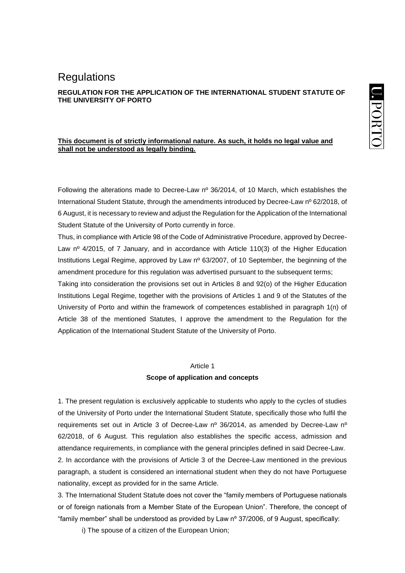# **REGULATION FOR THE APPLICATION OF THE INTERNATIONAL STUDENT STATUTE OF THE UNIVERSITY OF PORTO**

## **This document is of strictly informational nature. As such, it holds no legal value and shall not be understood as legally binding.**

Following the alterations made to Decree-Law nº 36/2014, of 10 March, which establishes the International Student Statute, through the amendments introduced by Decree-Law nº 62/2018, of 6 August, it is necessary to review and adjust the Regulation for the Application of the International Student Statute of the University of Porto currently in force.

Thus, in compliance with Article 98 of the Code of Administrative Procedure, approved by Decree-Law nº 4/2015, of 7 January, and in accordance with Article 110(3) of the Higher Education Institutions Legal Regime, approved by Law nº 63/2007, of 10 September, the beginning of the amendment procedure for this regulation was advertised pursuant to the subsequent terms;

Taking into consideration the provisions set out in Articles 8 and 92(o) of the Higher Education Institutions Legal Regime, together with the provisions of Articles 1 and 9 of the Statutes of the University of Porto and within the framework of competences established in paragraph 1(n) of Article 38 of the mentioned Statutes, I approve the amendment to the Regulation for the Application of the International Student Statute of the University of Porto.

#### Article 1

# **Scope of application and concepts**

1. The present regulation is exclusively applicable to students who apply to the cycles of studies of the University of Porto under the International Student Statute, specifically those who fulfil the requirements set out in Article 3 of Decree-Law  $n^{\circ}$  36/2014, as amended by Decree-Law  $n^{\circ}$ 62/2018, of 6 August. This regulation also establishes the specific access, admission and attendance requirements, in compliance with the general principles defined in said Decree-Law. 2. In accordance with the provisions of Article 3 of the Decree-Law mentioned in the previous paragraph, a student is considered an international student when they do not have Portuguese nationality, except as provided for in the same Article.

3. The International Student Statute does not cover the "family members of Portuguese nationals or of foreign nationals from a Member State of the European Union". Therefore, the concept of "family member" shall be understood as provided by Law nº 37/2006, of 9 August, specifically:

i) The spouse of a citizen of the European Union;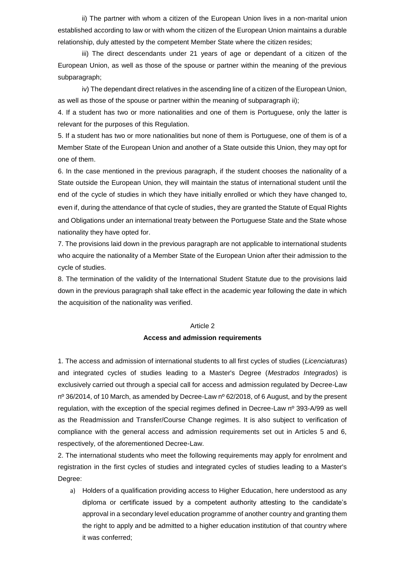ii) The partner with whom a citizen of the European Union lives in a non-marital union established according to law or with whom the citizen of the European Union maintains a durable relationship, duly attested by the competent Member State where the citizen resides;

iii) The direct descendants under 21 years of age or dependant of a citizen of the European Union, as well as those of the spouse or partner within the meaning of the previous subparagraph;

iv) The dependant direct relatives in the ascending line of a citizen of the European Union, as well as those of the spouse or partner within the meaning of subparagraph ii);

4. If a student has two or more nationalities and one of them is Portuguese, only the latter is relevant for the purposes of this Regulation.

5. If a student has two or more nationalities but none of them is Portuguese, one of them is of a Member State of the European Union and another of a State outside this Union, they may opt for one of them.

6. In the case mentioned in the previous paragraph, if the student chooses the nationality of a State outside the European Union, they will maintain the status of international student until the end of the cycle of studies in which they have initially enrolled or which they have changed to, even if, during the attendance of that cycle of studies, they are granted the Statute of Equal Rights and Obligations under an international treaty between the Portuguese State and the State whose nationality they have opted for.

7. The provisions laid down in the previous paragraph are not applicable to international students who acquire the nationality of a Member State of the European Union after their admission to the cycle of studies.

8. The termination of the validity of the International Student Statute due to the provisions laid down in the previous paragraph shall take effect in the academic year following the date in which the acquisition of the nationality was verified.

#### Article 2

#### **Access and admission requirements**

1. The access and admission of international students to all first cycles of studies (*Licenciaturas*) and integrated cycles of studies leading to a Master's Degree (*Mestrados Integrados*) is exclusively carried out through a special call for access and admission regulated by Decree-Law  $n^{\circ}$  36/2014, of 10 March, as amended by Decree-Law  $n^{\circ}$  62/2018, of 6 August, and by the present regulation, with the exception of the special regimes defined in Decree-Law nº 393-A/99 as well as the Readmission and Transfer/Course Change regimes. It is also subject to verification of compliance with the general access and admission requirements set out in Articles 5 and 6, respectively, of the aforementioned Decree-Law.

2. The international students who meet the following requirements may apply for enrolment and registration in the first cycles of studies and integrated cycles of studies leading to a Master's Degree:

a) Holders of a qualification providing access to Higher Education, here understood as any diploma or certificate issued by a competent authority attesting to the candidate's approval in a secondary level education programme of another country and granting them the right to apply and be admitted to a higher education institution of that country where it was conferred;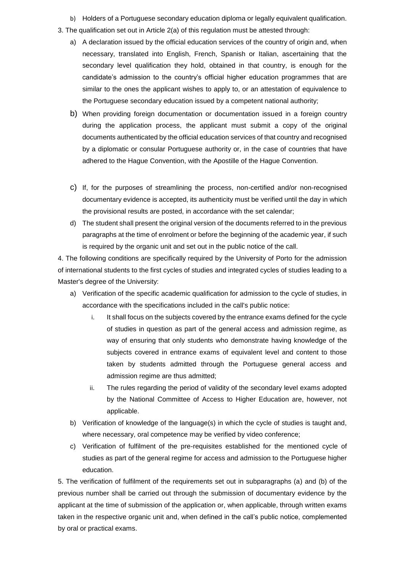- b) Holders of a Portuguese secondary education diploma or legally equivalent qualification.
- 3. The qualification set out in Article 2(a) of this regulation must be attested through:
	- a) A declaration issued by the official education services of the country of origin and, when necessary, translated into English, French, Spanish or Italian, ascertaining that the secondary level qualification they hold, obtained in that country, is enough for the candidate's admission to the country's official higher education programmes that are similar to the ones the applicant wishes to apply to, or an attestation of equivalence to the Portuguese secondary education issued by a competent national authority;
	- b) When providing foreign documentation or documentation issued in a foreign country during the application process, the applicant must submit a copy of the original documents authenticated by the official education services of that country and recognised by a diplomatic or consular Portuguese authority or, in the case of countries that have adhered to the Hague Convention, with the Apostille of the Hague Convention.
	- c) If, for the purposes of streamlining the process, non-certified and/or non-recognised documentary evidence is accepted, its authenticity must be verified until the day in which the provisional results are posted, in accordance with the set calendar;
	- d) The student shall present the original version of the documents referred to in the previous paragraphs at the time of enrolment or before the beginning of the academic year, if such is required by the organic unit and set out in the public notice of the call.

4. The following conditions are specifically required by the University of Porto for the admission of international students to the first cycles of studies and integrated cycles of studies leading to a Master's degree of the University:

- a) Verification of the specific academic qualification for admission to the cycle of studies, in accordance with the specifications included in the call's public notice:
	- i. It shall focus on the subjects covered by the entrance exams defined for the cycle of studies in question as part of the general access and admission regime, as way of ensuring that only students who demonstrate having knowledge of the subjects covered in entrance exams of equivalent level and content to those taken by students admitted through the Portuguese general access and admission regime are thus admitted;
	- ii. The rules regarding the period of validity of the secondary level exams adopted by the National Committee of Access to Higher Education are, however, not applicable.
- b) Verification of knowledge of the language(s) in which the cycle of studies is taught and, where necessary, oral competence may be verified by video conference;
- c) Verification of fulfilment of the pre-requisites established for the mentioned cycle of studies as part of the general regime for access and admission to the Portuguese higher education.

5. The verification of fulfilment of the requirements set out in subparagraphs (a) and (b) of the previous number shall be carried out through the submission of documentary evidence by the applicant at the time of submission of the application or, when applicable, through written exams taken in the respective organic unit and, when defined in the call's public notice, complemented by oral or practical exams.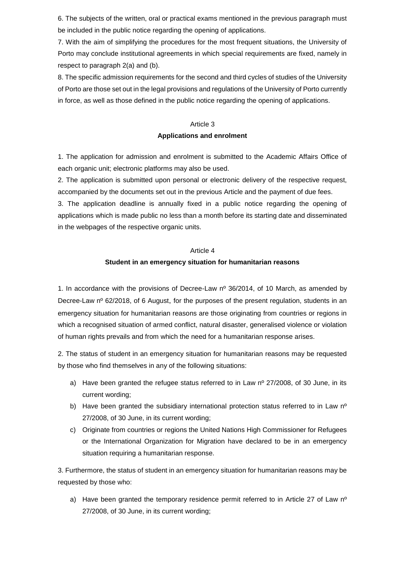6. The subjects of the written, oral or practical exams mentioned in the previous paragraph must be included in the public notice regarding the opening of applications.

7. With the aim of simplifying the procedures for the most frequent situations, the University of Porto may conclude institutional agreements in which special requirements are fixed, namely in respect to paragraph 2(a) and (b).

8. The specific admission requirements for the second and third cycles of studies of the University of Porto are those set out in the legal provisions and regulations of the University of Porto currently in force, as well as those defined in the public notice regarding the opening of applications.

#### Article 3

#### **Applications and enrolment**

1. The application for admission and enrolment is submitted to the Academic Affairs Office of each organic unit; electronic platforms may also be used.

2. The application is submitted upon personal or electronic delivery of the respective request, accompanied by the documents set out in the previous Article and the payment of due fees.

3. The application deadline is annually fixed in a public notice regarding the opening of applications which is made public no less than a month before its starting date and disseminated in the webpages of the respective organic units.

### Article 4

### **Student in an emergency situation for humanitarian reasons**

1. In accordance with the provisions of Decree-Law nº 36/2014, of 10 March, as amended by Decree-Law nº 62/2018, of 6 August, for the purposes of the present regulation, students in an emergency situation for humanitarian reasons are those originating from countries or regions in which a recognised situation of armed conflict, natural disaster, generalised violence or violation of human rights prevails and from which the need for a humanitarian response arises.

2. The status of student in an emergency situation for humanitarian reasons may be requested by those who find themselves in any of the following situations:

- a) Have been granted the refugee status referred to in Law  $n^{\circ}$  27/2008, of 30 June, in its current wording;
- b) Have been granted the subsidiary international protection status referred to in Law  $n^{\circ}$ 27/2008, of 30 June, in its current wording;
- c) Originate from countries or regions the United Nations High Commissioner for Refugees or the International Organization for Migration have declared to be in an emergency situation requiring a humanitarian response.

3. Furthermore, the status of student in an emergency situation for humanitarian reasons may be requested by those who:

a) Have been granted the temporary residence permit referred to in Article 27 of Law  $n^{\circ}$ 27/2008, of 30 June, in its current wording;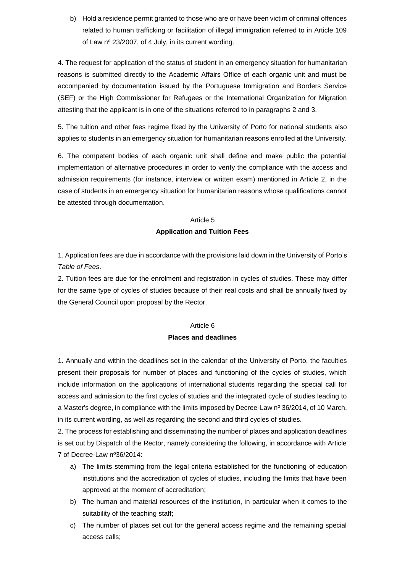b) Hold a residence permit granted to those who are or have been victim of criminal offences related to human trafficking or facilitation of illegal immigration referred to in Article 109 of Law nº 23/2007, of 4 July, in its current wording.

4. The request for application of the status of student in an emergency situation for humanitarian reasons is submitted directly to the Academic Affairs Office of each organic unit and must be accompanied by documentation issued by the Portuguese Immigration and Borders Service (SEF) or the High Commissioner for Refugees or the International Organization for Migration attesting that the applicant is in one of the situations referred to in paragraphs 2 and 3.

5. The tuition and other fees regime fixed by the University of Porto for national students also applies to students in an emergency situation for humanitarian reasons enrolled at the University.

6. The competent bodies of each organic unit shall define and make public the potential implementation of alternative procedures in order to verify the compliance with the access and admission requirements (for instance, interview or written exam) mentioned in Article 2, in the case of students in an emergency situation for humanitarian reasons whose qualifications cannot be attested through documentation.

### Article 5

# **Application and Tuition Fees**

1. Application fees are due in accordance with the provisions laid down in the University of Porto's *Table of Fees*.

2. Tuition fees are due for the enrolment and registration in cycles of studies. These may differ for the same type of cycles of studies because of their real costs and shall be annually fixed by the General Council upon proposal by the Rector.

# Article 6

# **Places and deadlines**

1. Annually and within the deadlines set in the calendar of the University of Porto, the faculties present their proposals for number of places and functioning of the cycles of studies, which include information on the applications of international students regarding the special call for access and admission to the first cycles of studies and the integrated cycle of studies leading to a Master's degree, in compliance with the limits imposed by Decree-Law nº 36/2014, of 10 March, in its current wording, as well as regarding the second and third cycles of studies.

2. The process for establishing and disseminating the number of places and application deadlines is set out by Dispatch of the Rector, namely considering the following, in accordance with Article 7 of Decree-Law nº36/2014:

- a) The limits stemming from the legal criteria established for the functioning of education institutions and the accreditation of cycles of studies, including the limits that have been approved at the moment of accreditation;
- b) The human and material resources of the institution, in particular when it comes to the suitability of the teaching staff;
- c) The number of places set out for the general access regime and the remaining special access calls;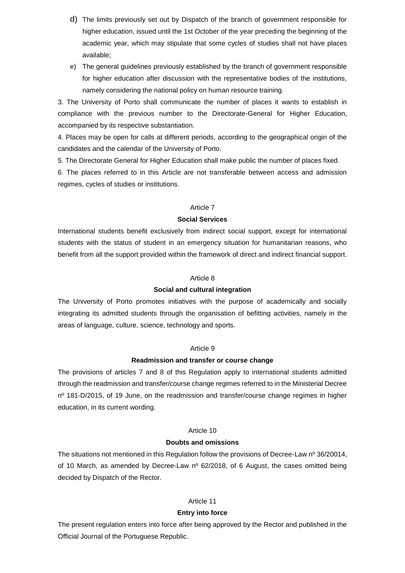- d) The limits previously set out by Dispatch of the branch of government responsible for higher education, issued until the 1st October of the year preceding the beginning of the academic year, which may stipulate that some cycles of studies shall not have places available;
- e) The general guidelines previously established by the branch of government responsible for higher education after discussion with the representative bodies of the institutions, namely considering the national policy on human resource training.

3. The University of Porto shall communicate the number of places it wants to establish in compliance with the previous number to the Directorate-General for Higher Education, accompanied by its respective substantiation.

4. Places may be open for calls at different periods, according to the geographical origin of the candidates and the calendar of the University of Porto.

5. The Directorate General for Higher Education shall make public the number of places fixed.

6. The places referred to in this Article are not transferable between access and admission regimes, cycles of studies or institutions.

### Article 7

### **Social Services**

International students benefit exclusively from indirect social support, except for international students with the status of student in an emergency situation for humanitarian reasons, who benefit from all the support provided within the framework of direct and indirect financial support.

### Article 8

## **Social and cultural integration**

The University of Porto promotes initiatives with the purpose of academically and socially integrating its admitted students through the organisation of befitting activities, namely in the areas of language, culture, science, technology and sports.

#### Article 9

#### **Readmission and transfer or course change**

The provisions of articles 7 and 8 of this Regulation apply to international students admitted through the readmission and transfer/course change regimes referred to in the Ministerial Decree  $n^{\circ}$  181-D/2015, of 19 June, on the readmission and transfer/course change regimes in higher education, in its current wording.

#### Article 10

# **Doubts and omissions**

The situations not mentioned in this Regulation follow the provisions of Decree-Law nº 36/20014, of 10 March, as amended by Decree-Law  $n^{\circ}$  62/2018, of 6 August, the cases omitted being decided by Dispatch of the Rector.

#### Article 11

# **Entry into force**

The present regulation enters into force after being approved by the Rector and published in the Official Journal of the Portuguese Republic.